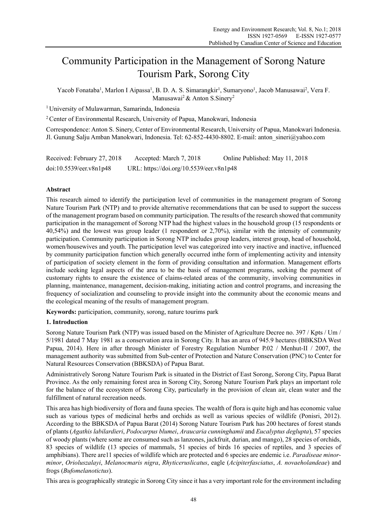# Community Participation in the Management of Sorong Nature Tourism Park, Sorong City

Yacob Fonataba<sup>1</sup>, Marlon I Aipassa<sup>1</sup>, B. D. A. S. Simarangkir<sup>1</sup>, Sumaryono<sup>1</sup>, Jacob Manusawai<sup>2</sup>, Vera F. Manusawai<sup>2</sup> & Anton S.Sinery<sup>2</sup>

<sup>1</sup> University of Mulawarman, Samarinda, Indonesia

2 Center of Environmental Research, University of Papua, Manokwari, Indonesia

Correspondence: Anton S. Sinery, Center of Environmental Research, University of Papua, Manokwari Indonesia. Jl. Gunung Salju Amban Manokwari, Indonesia. Tel: 62-852-4430-8802. E-mail: anton\_sineri@yahoo.com

| Received: February 27, 2018 | Accepted: March 7, 2018                  | Online Published: May 11, 2018 |
|-----------------------------|------------------------------------------|--------------------------------|
| doi:10.5539/eer.v8n1p48     | URL: https://doi.org/10.5539/eer.v8n1p48 |                                |

## **Abstract**

This research aimed to identify the participation level of communities in the management program of Sorong Nature Tourism Park (NTP) and to provide alternative recommendations that can be used to support the success of the management program based on community participation. The results of the research showed that community participation in the management of Sorong NTP had the highest values in the household group (15 respondents or 40,54%) and the lowest was group leader (1 respondent or 2,70%), similar with the intensity of community participation. Community participation in Sorong NTP includes group leaders, interest group, head of household, women/housewives and youth. The participation level was categorized into very inactive and inactive, influenced by community participation function which generally occurred inthe form of implementing activity and intensity of participation of society element in the form of providing consultation and information. Management efforts include seeking legal aspects of the area to be the basis of management programs, seeking the payment of customary rights to ensure the existence of claims-related areas of the community, involving communities in planning, maintenance, management, decision-making, initiating action and control programs, and increasing the frequency of socialization and counseling to provide insight into the community about the economic means and the ecological meaning of the results of management program.

**Keywords:** participation, community, sorong, nature tourims park

## **1. Introduction**

Sorong Nature Tourism Park (NTP) was issued based on the Minister of Agriculture Decree no. 397 / Kpts / Um / 5/1981 dated 7 May 1981 as a conservation area in Sorong City. It has an area of 945.9 hectares (BBKSDA West Papua, 2014). Here in after through Minister of Forestry Regulation Number P.02 / Menhut-II / 2007, the management authority was submitted from Sub-center of Protection and Nature Conservation (PNC) to Center for Natural Resources Conservation (BBKSDA) of Papua Barat.

Administratively Sorong Nature Tourism Park is situated in the District of East Sorong, Sorong City, Papua Barat Province. As the only remaining forest area in Sorong City, Sorong Nature Tourism Park plays an important role for the balance of the ecosystem of Sorong City, particularly in the provision of clean air, clean water and the fulfillment of natural recreation needs.

This area has high biodiversity of flora and fauna species. The wealth of flora is quite high and has economic value such as various types of medicinal herbs and orchids as well as various species of wildlife (Ponisri, 2012). According to the BBKSDA of Papua Barat (2014) Sorong Nature Tourism Park has 200 hectares of forest stands of plants (*Agathis labilardieri*, *Podocarpus blumei*, *Araucaria cunninghamii* and *Eucalyptus deglupta*), 57 species of woody plants (where some are consumed such as lanzones, jackfruit, durian, and mango), 28 species of orchids, 83 species of wildlife (13 species of mammals, 51 species of birds 16 species of reptiles, and 3 species of amphibians). There are11 species of wildlife which are protected and 6 species are endemic i.e. *Paradiseae minorminor*, *Orioluszalayi*, *Melanocmaris nigra*, *Rhyticeruslicatus*, eagle (*Acipiterfasciatus*, *A. novaeholandeae*) and frogs (*Bufomelanotictus*).

This area is geographically strategic in Sorong City since it has a very important role for the environment including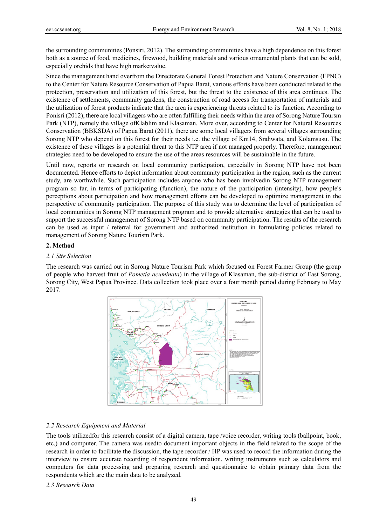the surrounding communities (Ponsiri, 2012). The surrounding communities have a high dependence on this forest both as a source of food, medicines, firewood, building materials and various ornamental plants that can be sold, especially orchids that have high marketvalue.

Since the management hand overfrom the Directorate General Forest Protection and Nature Conservation (FPNC) to the Center for Nature Resource Conservation of Papua Barat, various efforts have been conducted related to the protection, preservation and utilization of this forest, but the threat to the existence of this area continues. The existence of settlements, community gardens, the construction of road access for transportation of materials and the utilization of forest products indicate that the area is experiencing threats related to its function. According to Ponisri (2012), there are local villagers who are often fulfilling their needs within the area of Sorong Nature Toursm Park (NTP), namely the village ofKlablim and Klasaman. More over, according to Center for Natural Resources Conservation (BBKSDA) of Papua Barat (2011), there are some local villagers from several villages surrounding Sorong NTP who depend on this forest for their needs i.e. the village of Km14, Srahwata, and Kolamsusu. The existence of these villages is a potential threat to this NTP area if not managed properly. Therefore, management strategies need to be developed to ensure the use of the areas resources will be sustainable in the future.

Until now, reports or research on local community participation, especially in Sorong NTP have not been documented. Hence efforts to depict information about community participation in the region, such as the current study, are worthwhile. Such participation includes anyone who has been involvedin Sorong NTP management program so far, in terms of participating (function), the nature of the participation (intensity), how people's perceptions about participation and how management efforts can be developed to optimize management in the perspective of community participation. The purpose of this study was to determine the level of participation of local communities in Sorong NTP management program and to provide alternative strategies that can be used to support the successful management of Sorong NTP based on community participation. The results of the research can be used as input / referral for government and authorized institution in formulating policies related to management of Sorong Nature Tourism Park.

## **2. Method**

## *2.1 Site Selection*

The research was carried out in Sorong Nature Tourism Park which focused on Forest Farmer Group (the group of people who harvest fruit of *Pometia acuminata*) in the village of Klasaman, the sub-district of East Sorong, Sorong City, West Papua Province. Data collection took place over a four month period during February to May 2017.



## *2.2 Research Equipment and Material*

The tools utilizedfor this research consist of a digital camera, tape /voice recorder, writing tools (ballpoint, book, etc.) and computer. The camera was usedto document important objects in the field related to the scope of the research in order to facilitate the discussion, the tape recorder / HP was used to record the information during the interview to ensure accurate recording of respondent information, writing instruments such as calculators and computers for data processing and preparing research and questionnaire to obtain primary data from the respondents which are the main data to be analyzed.

*2.3 Research Data*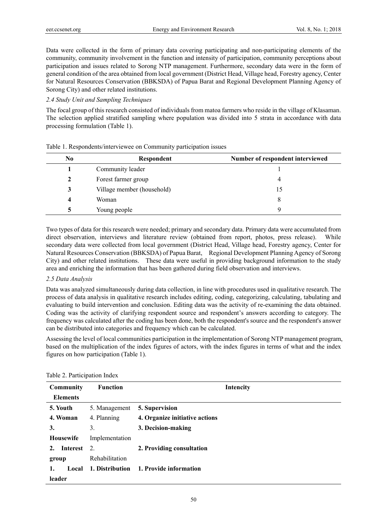Data were collected in the form of primary data covering participating and non-participating elements of the community, community involvement in the function and intensity of participation, community perceptions about participation and issues related to Sorong NTP management. Furthermore, secondary data were in the form of general condition of the area obtained from local government (District Head, Village head, Forestry agency, Center for Natural Resources Conservation (BBKSDA) of Papua Barat and Regional Development Planning Agency of Sorong City) and other related institutions.

## *2.4 Study Unit and Sampling Techniques*

The focal group of this research consisted of individuals from matoa farmers who reside in the village of Klasaman. The selection applied stratified sampling where population was divided into 5 strata in accordance with data processing formulation (Table 1).

| No.              | Respondent                 | Number of respondent interviewed |
|------------------|----------------------------|----------------------------------|
|                  | Community leader           |                                  |
|                  | Forest farmer group        |                                  |
| 3                | Village member (household) |                                  |
| $\boldsymbol{4}$ | Woman                      |                                  |
|                  | Young people               |                                  |

|  | Table 1. Respondents/interviewee on Community participation issues |  |  |  |
|--|--------------------------------------------------------------------|--|--|--|

Two types of data for this research were needed; primary and secondary data. Primary data were accumulated from direct observation, interviews and literature review (obtained from report, photos, press release). While secondary data were collected from local government (District Head, Village head, Forestry agency, Center for Natural Resources Conservation (BBKSDA) of Papua Barat, Regional Development Planning Agency of Sorong City) and other related institutions. These data were useful in providing background information to the study area and enriching the information that has been gathered during field observation and interviews.

## *2.5 Data Analysis*

Data was analyzed simultaneously during data collection, in line with procedures used in qualitative research. The process of data analysis in qualitative research includes editing, coding, categorizing, calculating, tabulating and evaluating to build intervention and conclusion. Editing data was the activity of re-examining the data obtained. Coding was the activity of clarifying respondent source and respondent's answers according to category. The frequency was calculated after the coding has been done, both the respondent's source and the respondent's answer can be distributed into categories and frequency which can be calculated.

Assessing the level of local communities participation in the implementation of Sorong NTP management program, based on the multiplication of the index figures of actors, with the index figures in terms of what and the index figures on how participation (Table 1).

| Community        | <b>Function</b> | Intencity                      |
|------------------|-----------------|--------------------------------|
| <b>Elements</b>  |                 |                                |
| 5. Youth         | 5. Management   | 5. Supervision                 |
| 4. Woman         | 4. Planning     | 4. Organize initiative actions |
| 3.               | 3.              | 3. Decision-making             |
| <b>Housewife</b> | Implementation  |                                |
| Interest<br>2.   | 2.              | 2. Providing consultation      |
| group            | Rehabilitation  |                                |
| Local            | 1. Distribution | 1. Provide information         |
| leader           |                 |                                |

#### Table 2. Participation Index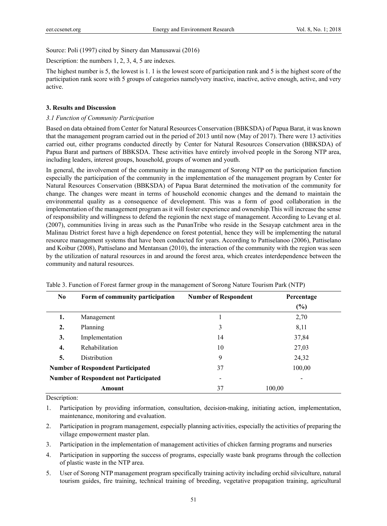Source: Poli (1997) cited by Sinery dan Manusawai (2016)

Description: the numbers 1, 2, 3, 4, 5 are indexes.

The highest number is 5, the lowest is 1. 1 is the lowest score of participation rank and 5 is the highest score of the participation rank score with 5 groups of categories namelyvery inactive, inactive, active enough, active, and very active.

## **3. Results and Discussion**

#### *3.1 Function of Community Participation*

Based on data obtained from Center for Natural Resources Conservation (BBKSDA) of Papua Barat, it was known that the management program carried out in the period of 2013 until now (May of 2017). There were 13 activities carried out, either programs conducted directly by Center for Natural Resources Conservation (BBKSDA) of Papua Barat and partners of BBKSDA. These activities have entirely involved people in the Sorong NTP area, including leaders, interest groups, household, groups of women and youth.

In general, the involvement of the community in the management of Sorong NTP on the participation function especially the participation of the community in the implementation of the management program by Center for Natural Resources Conservation (BBKSDA) of Papua Barat determined the motivation of the community for change. The changes were meant in terms of household economic changes and the demand to maintain the environmental quality as a consequence of development. This was a form of good collaboration in the implementation of the management program as it will foster experience and ownership.This will increase the sense of responsibility and willingness to defend the regionin the next stage of management. According to Levang et al. (2007), communities living in areas such as the PunanTribe who reside in the Sesayap catchment area in the Malinau District forest have a high dependence on forest potential, hence they will be implementing the natural resource management systems that have been conducted for years. According to Pattiselanoo (2006), Pattiselano and Koibur (2008), Pattiselano and Mentansan (2010), the interaction of the community with the region was seen by the utilization of natural resources in and around the forest area, which creates interdependence between the community and natural resources.

| N <sub>0</sub><br>Form of community participation |                     | <b>Number of Respondent</b> | Percentage |  |
|---------------------------------------------------|---------------------|-----------------------------|------------|--|
|                                                   |                     |                             | $(\%)$     |  |
| 1.                                                | Management          |                             | 2,70       |  |
| 2.                                                | Planning            | 3                           | 8,11       |  |
| 3.                                                | Implementation      | 14                          | 37,84      |  |
| 4.                                                | Rehabilitation      | 10                          | 27,03      |  |
| 5.                                                | <b>Distribution</b> | 9                           | 24,32      |  |
| <b>Number of Respondent Participated</b>          |                     | 37                          | 100,00     |  |
| <b>Number of Respondent not Participated</b>      |                     | ۰                           |            |  |
|                                                   | Amount              | 37                          | 100.00     |  |

Table 3. Function of Forest farmer group in the management of Sorong Nature Tourism Park (NTP)

Description:

1. Participation by providing information, consultation, decision-making, initiating action, implementation, maintenance, monitoring and evaluation.

2. Participation in program management, especially planning activities, especially the activities of preparing the village empowerment master plan.

3. Participation in the implementation of management activities of chicken farming programs and nurseries

4. Participation in supporting the success of programs, especially waste bank programs through the collection of plastic waste in the NTP area.

5. User of Sorong NTP management program specifically training activity including orchid silviculture, natural tourism guides, fire training, technical training of breeding, vegetative propagation training, agricultural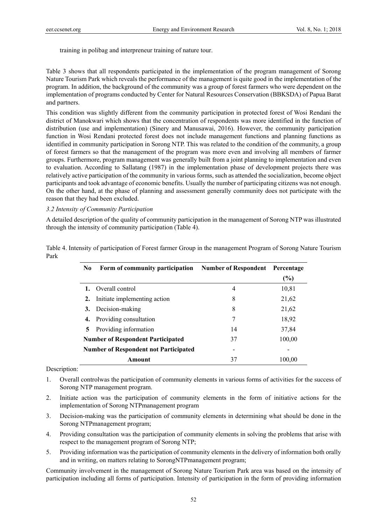training in polibag and interpreneur training of nature tour.

Table 3 shows that all respondents participated in the implementation of the program management of Sorong Nature Tourism Park which reveals the performance of the management is quite good in the implementation of the program. In addition, the background of the community was a group of forest farmers who were dependent on the implementation of programs conducted by Center for Natural Resources Conservation (BBKSDA) of Papua Barat and partners.

This condition was slightly different from the community participation in protected forest of Wosi Rendani the district of Manokwari which shows that the concentration of respondents was more identified in the function of distribution (use and implementation) (Sinery and Manusawai, 2016). However, the community participation function in Wosi Rendani protected forest does not include management functions and planning functions as identified in community participation in Sorong NTP. This was related to the condition of the community, a group of forest farmers so that the management of the program was more even and involving all members of farmer groups. Furthermore, program management was generally built from a joint planning to implementation and even to evaluation. According to Sallatang (1987) in the implementation phase of development projects there was relatively active participation of the community in various forms, such as attended the socialization, become object participants and took advantage of economic benefits. Usually the number of participating citizens was not enough. On the other hand, at the phase of planning and assessment generally community does not participate with the reason that they had been excluded.

## *3.2 Intensity of Community Participation*

A detailed description of the quality of community participation in the management of Sorong NTP was illustrated through the intensity of community participation (Table 4).

| Table 4. Intensity of participation of Forest farmer Group in the management Program of Sorong Nature Tourism |  |
|---------------------------------------------------------------------------------------------------------------|--|
| Park                                                                                                          |  |

| N <sub>0</sub>                               | Form of community participation | <b>Number of Respondent</b> Percentage |        |  |
|----------------------------------------------|---------------------------------|----------------------------------------|--------|--|
|                                              |                                 |                                        | $(\%)$ |  |
|                                              | 1. Overall control              | 4                                      | 10,81  |  |
| 2.                                           | Initiate implementing action    | 8                                      | 21,62  |  |
|                                              | 3. Decision-making              | 8                                      | 21,62  |  |
| 4.                                           | Providing consultation          | 7                                      | 18,92  |  |
| 5.                                           | Providing information           | 14                                     | 37,84  |  |
| <b>Number of Respondent Participated</b>     |                                 | 37                                     | 100,00 |  |
| <b>Number of Respondent not Participated</b> |                                 |                                        |        |  |
|                                              | Amount                          | 37                                     | 100.00 |  |

#### Description:

- 1. Overall controlwas the participation of community elements in various forms of activities for the success of Sorong NTP management program.
- 2. Initiate action was the participation of community elements in the form of initiative actions for the implementation of Sorong NTPmanagement program
- 3. Decision-making was the participation of community elements in determining what should be done in the Sorong NTPmanagement program;
- 4. Providing consultation was the participation of community elements in solving the problems that arise with respect to the management program of Sorong NTP;
- 5. Providing information was the participation of community elements in the delivery of information both orally and in writing, on matters relating to SorongNTPmanagement program;

Community involvement in the management of Sorong Nature Tourism Park area was based on the intensity of participation including all forms of participation. Intensity of participation in the form of providing information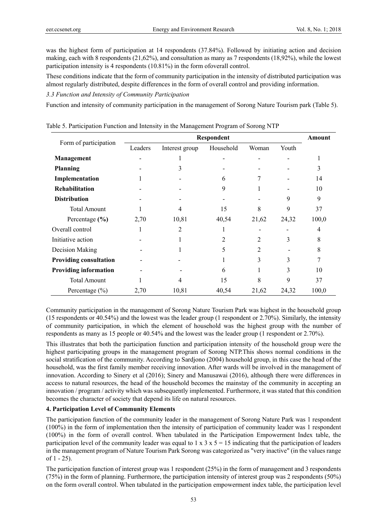was the highest form of participation at 14 respondents (37.84%). Followed by initiating action and decision making, each with 8 respondents (21,62%), and consultation as many as 7 respondents (18,92%), while the lowest participation intensity is 4 respondents (10.81%) in the form ofoverall control.

These conditions indicate that the form of community participation in the intensity of distributed participation was almost regularly distributed, despite differences in the form of overall control and providing information.

*3.3 Function and Intensity of Community Participation* 

Function and intensity of community participation in the management of Sorong Nature Tourism park (Table 5).

|                               | <b>Respondent</b> |                |           |                |       | Amount |
|-------------------------------|-------------------|----------------|-----------|----------------|-------|--------|
| Form of participation         | Leaders           | Interest group | Household | Woman          | Youth |        |
| Management                    |                   |                |           |                |       | 1      |
| <b>Planning</b>               |                   | 3              |           |                |       | 3      |
| Implementation                |                   |                | 6         |                |       | 14     |
| <b>Rehabilitation</b>         |                   |                | 9         |                |       | 10     |
| <b>Distribution</b>           |                   |                |           |                | 9     | 9      |
| <b>Total Amount</b>           |                   | 4              | 15        | 8              | 9     | 37     |
| Percentage $(\% )$            | 2,70              | 10,81          | 40,54     | 21,62          | 24,32 | 100,0  |
| Overall control               |                   | $\overline{2}$ |           |                |       | 4      |
| Initiative action             |                   |                | 2         | 2              | 3     | 8      |
| Decision Making               |                   |                | 5         | $\mathfrak{D}$ |       | 8      |
| <b>Providing consultation</b> |                   |                |           | 3              | 3     | 7      |
| <b>Providing information</b>  |                   |                | 6         |                | 3     | 10     |
| <b>Total Amount</b>           |                   | 4              | 15        | 8              | 9     | 37     |
| Percentage $(\% )$            | 2,70              | 10,81          | 40,54     | 21,62          | 24,32 | 100,0  |

Table 5. Participation Function and Intensity in the Management Program of Sorong NTP

Community participation in the management of Sorong Nature Tourism Park was highest in the household group (15 respondents or 40.54%) and the lowest was the leader group (1 respondent or 2.70%). Similarly, the intensity of community participation, in which the element of household was the highest group with the number of respondents as many as 15 people or 40.54% and the lowest was the leader group (1 respondent or 2.70%).

This illustrates that both the participation function and participation intensity of the household group were the highest participating groups in the management program of Sorong NTP.This shows normal conditions in the social stratification of the community. According to Sardjono (2004) household group, in this case the head of the household, was the first family member receiving innovation. After wards will be involved in the management of innovation. According to Sinery et al (2016); Sinery and Manusawai (2016), although there were differences in access to natural resources, the head of the household becomes the mainstay of the community in accepting an innovation / program / activity which was subsequently implemented. Furthermore, it was stated that this condition becomes the character of society that depend its life on natural resources.

# **4. Participation Level of Community Elements**

The participation function of the community leader in the management of Sorong Nature Park was 1 respondent (100%) in the form of implementation then the intensity of participation of community leader was 1 respondent (100%) in the form of overall control. When tabulated in the Participation Empowerment Index table, the participation level of the community leader was equal to  $1 \times 3 \times 5 = 15$  indicating that the participation of leaders in the management program of Nature Tourism Park Sorong was categorized as "very inactive" (in the values range of  $1 - 25$ ).

The participation function of interest group was 1 respondent (25%) in the form of management and 3 respondents (75%) in the form of planning. Furthermore, the participation intensity of interest group was 2 respondents (50%) on the form overall control. When tabulated in the participation empowerment index table, the participation level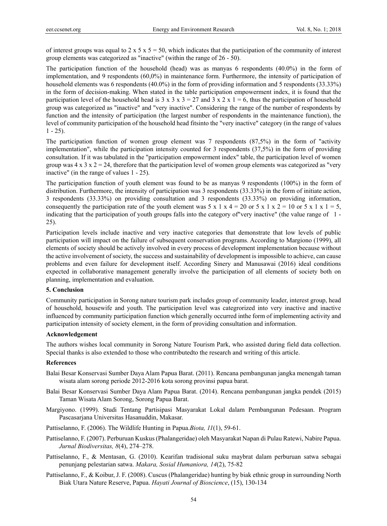of interest groups was equal to 2 x 5 x 5 = 50, which indicates that the participation of the community of interest group elements was categorized as "inactive" (within the range of 26 - 50).

The participation function of the household (head) was as manyas 6 respondents (40.0%) in the form of implementation, and 9 respondents (60,0%) in maintenance form. Furthermore, the intensity of participation of household elements was 6 respondents (40.0%) in the form of providing information and 5 respondents (33.33%) in the form of decision-making. When stated in the table participation empowerment index, it is found that the participation level of the household head is  $3 \times 3 \times 3 = 27$  and  $3 \times 2 \times 1 = 6$ , thus the participation of household group was categorized as "inactive" and "very inactive". Considering the range of the number of respondents by function and the intensity of participation (the largest number of respondents in the maintenance function), the level of community participation of the household head fitsinto the "very inactive" category (in the range of values  $1 - 25$ ).

The participation function of women group element was 7 respondents (87,5%) in the form of "activity implementation", while the participation intensity counted for 3 respondents (37,5%) in the form of providing consultation. If it was tabulated in the "participation empowerment index" table, the participation level of women group was  $4 \times 3 \times 2 = 24$ , therefore that the participation level of women group elements was categorized as "very inactive" (in the range of values 1 - 25).

The participation function of youth element was found to be as manyas 9 respondents (100%) in the form of distribution. Furthermore, the intensity of participation was 3 respondents (33.33%) in the form of initiate action, 3 respondents (33.33%) on providing consultation and 3 respondents (33.33%) on providing information, consequently the participation rate of the youth element was  $5 \times 1 \times 4 = 20$  or  $5 \times 1 \times 2 = 10$  or  $5 \times 1 \times 1 = 5$ , indicating that the participation of youth groups falls into the category of"very inactive" (the value range of 1 - 25).

Participation levels include inactive and very inactive categories that demonstrate that low levels of public participation will impact on the failure of subsequent conservation programs. According to Margiono (1999), all elements of society should be actively involved in every process of development implementation because without the active involvement of society, the success and sustainability of development is impossible to achieve, can cause problems and even failure for development itself. According Sinery and Manusawai (2016) ideal conditions expected in collaborative management generally involve the participation of all elements of society both on planning, implementation and evaluation.

#### **5. Conclusion**

Community participation in Sorong nature tourism park includes group of community leader, interest group, head of household, housewife and youth. The participation level was categrorized into very inactive and inactive influenced by community participation function which generally occurred inthe form of implementing activity and participation intensity of society element, in the form of providing consultation and information.

#### **Acknowledgement**

The authors wishes local community in Sorong Nature Tourism Park, who assisted during field data collection. Special thanks is also extended to those who contributedto the research and writing of this article.

#### **References**

- Balai Besar Konservasi Sumber Daya Alam Papua Barat. (2011). Rencana pembangunan jangka menengah taman wisata alam sorong periode 2012-2016 kota sorong provinsi papua barat.
- Balai Besar Konservasi Sumber Daya Alam Papua Barat. (2014). Rencana pembangunan jangka pendek (2015) Taman Wisata Alam Sorong, Sorong Papua Barat.
- Margiyono. (1999). Studi Tentang Partisipasi Masyarakat Lokal dalam Pembangunan Pedesaan. Program Pascasarjana Universitas Hasanuddin, Makasar.
- Pattiselanno, F. (2006). The Wildlife Hunting in Papua.*Biota, 11*(1), 59-61.
- Pattiselanno, F. (2007). Perburuan Kuskus (Phalangeridae) oleh Masyarakat Napan di Pulau Ratewi, Nabire Papua. *Jurnal Biodiversitas, 8*(4), 274–278.
- Pattiselanno, F., & Mentasan, G. (2010). Kearifan tradisional suku maybrat dalam perburuan satwa sebagai penunjang pelestarian satwa. *Makara, Sosial Humaniora, 14*(2), 75-82
- Pattiselanno, F., & Koibur, J. F. (2008). Cuscus (Phalangeridae) hunting by biak ethnic group in surrounding North Biak Utara Nature Reserve, Papua. *Hayati Journal of Bioscience*, (15), 130-134